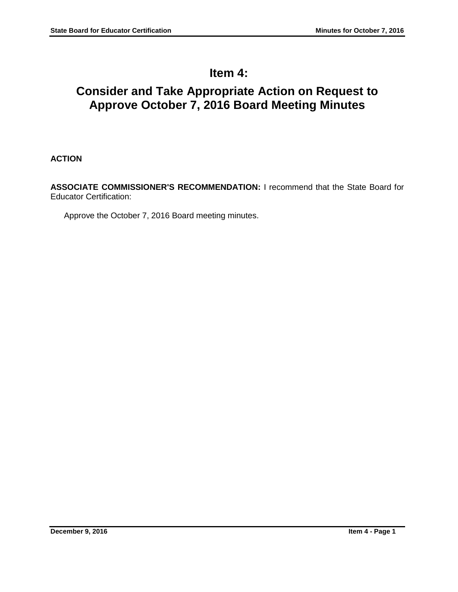# **Item 4:**

# **Consider and Take Appropriate Action on Request to Approve October 7, 2016 Board Meeting Minutes**

**ACTION**

**ASSOCIATE COMMISSIONER'S RECOMMENDATION:** I recommend that the State Board for Educator Certification:

Approve the October 7, 2016 Board meeting minutes.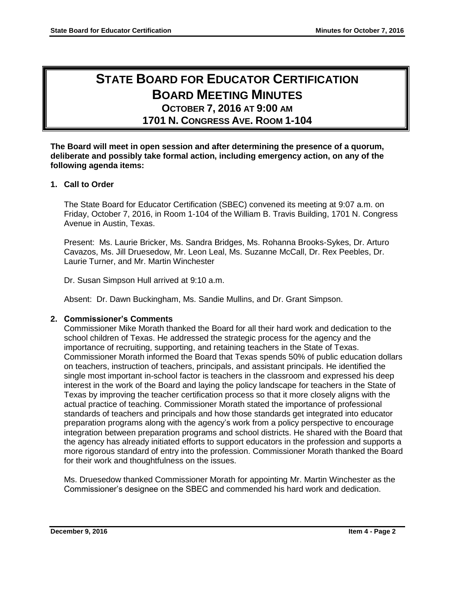# **STATE BOARD FOR EDUCATOR CERTIFICATION BOARD MEETING MINUTES OCTOBER 7, 2016 AT 9:00 AM**

**1701 N. CONGRESS AVE. ROOM 1-104**

**The Board will meet in open session and after determining the presence of a quorum, deliberate and possibly take formal action, including emergency action, on any of the following agenda items:**

# **1. Call to Order**

The State Board for Educator Certification (SBEC) convened its meeting at 9:07 a.m. on Friday, October 7, 2016, in Room 1-104 of the William B. Travis Building, 1701 N. Congress Avenue in Austin, Texas.

Present: Ms. Laurie Bricker, Ms. Sandra Bridges, Ms. Rohanna Brooks-Sykes, Dr. Arturo Cavazos, Ms. Jill Druesedow, Mr. Leon Leal, Ms. Suzanne McCall, Dr. Rex Peebles, Dr. Laurie Turner, and Mr. Martin Winchester

Dr. Susan Simpson Hull arrived at 9:10 a.m.

Absent: Dr. Dawn Buckingham, Ms. Sandie Mullins, and Dr. Grant Simpson.

# **2. Commissioner's Comments**

Commissioner Mike Morath thanked the Board for all their hard work and dedication to the school children of Texas. He addressed the strategic process for the agency and the importance of recruiting, supporting, and retaining teachers in the State of Texas. Commissioner Morath informed the Board that Texas spends 50% of public education dollars on teachers, instruction of teachers, principals, and assistant principals. He identified the single most important in-school factor is teachers in the classroom and expressed his deep interest in the work of the Board and laying the policy landscape for teachers in the State of Texas by improving the teacher certification process so that it more closely aligns with the actual practice of teaching. Commissioner Morath stated the importance of professional standards of teachers and principals and how those standards get integrated into educator preparation programs along with the agency's work from a policy perspective to encourage integration between preparation programs and school districts. He shared with the Board that the agency has already initiated efforts to support educators in the profession and supports a more rigorous standard of entry into the profession. Commissioner Morath thanked the Board for their work and thoughtfulness on the issues.

Ms. Druesedow thanked Commissioner Morath for appointing Mr. Martin Winchester as the Commissioner's designee on the SBEC and commended his hard work and dedication.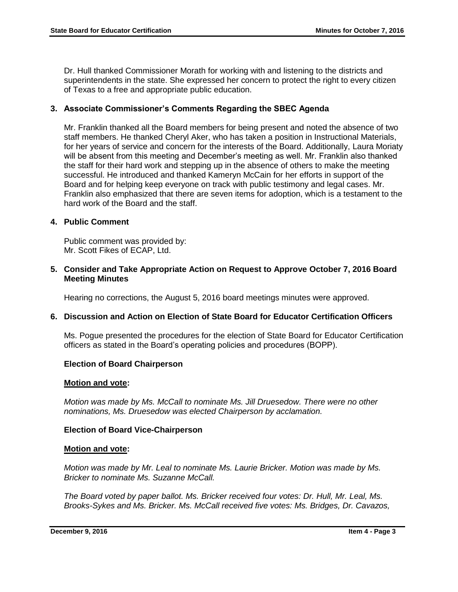Dr. Hull thanked Commissioner Morath for working with and listening to the districts and superintendents in the state. She expressed her concern to protect the right to every citizen of Texas to a free and appropriate public education.

# **3. Associate Commissioner's Comments Regarding the SBEC Agenda**

Mr. Franklin thanked all the Board members for being present and noted the absence of two staff members. He thanked Cheryl Aker, who has taken a position in Instructional Materials, for her years of service and concern for the interests of the Board. Additionally, Laura Moriaty will be absent from this meeting and December's meeting as well. Mr. Franklin also thanked the staff for their hard work and stepping up in the absence of others to make the meeting successful. He introduced and thanked Kameryn McCain for her efforts in support of the Board and for helping keep everyone on track with public testimony and legal cases. Mr. Franklin also emphasized that there are seven items for adoption, which is a testament to the hard work of the Board and the staff.

# **4. Public Comment**

Public comment was provided by: Mr. Scott Fikes of ECAP, Ltd.

### **5. Consider and Take Appropriate Action on Request to Approve October 7, 2016 Board Meeting Minutes**

Hearing no corrections, the August 5, 2016 board meetings minutes were approved.

## **6. Discussion and Action on Election of State Board for Educator Certification Officers**

Ms. Pogue presented the procedures for the election of State Board for Educator Certification officers as stated in the Board's operating policies and procedures (BOPP).

## **Election of Board Chairperson**

#### **Motion and vote:**

*Motion was made by Ms. McCall to nominate Ms. Jill Druesedow. There were no other nominations, Ms. Druesedow was elected Chairperson by acclamation.*

## **Election of Board Vice-Chairperson**

#### **Motion and vote:**

*Motion was made by Mr. Leal to nominate Ms. Laurie Bricker. Motion was made by Ms. Bricker to nominate Ms. Suzanne McCall.*

*The Board voted by paper ballot. Ms. Bricker received four votes: Dr. Hull, Mr. Leal, Ms. Brooks-Sykes and Ms. Bricker. Ms. McCall received five votes: Ms. Bridges, Dr. Cavazos,*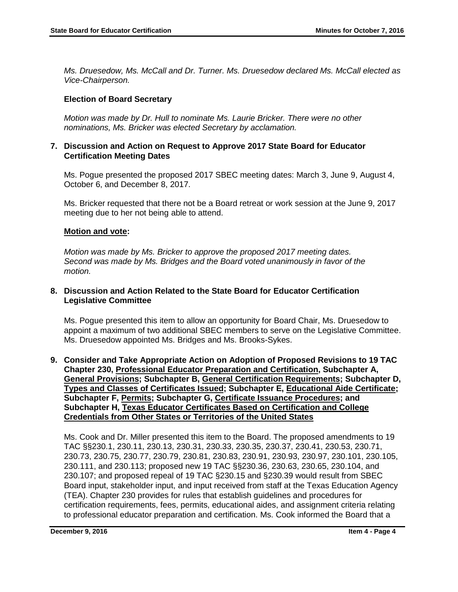*Ms. Druesedow, Ms. McCall and Dr. Turner. Ms. Druesedow declared Ms. McCall elected as Vice-Chairperson.*

# **Election of Board Secretary**

*Motion was made by Dr. Hull to nominate Ms. Laurie Bricker. There were no other nominations, Ms. Bricker was elected Secretary by acclamation.*

### **7. Discussion and Action on Request to Approve 2017 State Board for Educator Certification Meeting Dates**

Ms. Pogue presented the proposed 2017 SBEC meeting dates: March 3, June 9, August 4, October 6, and December 8, 2017.

Ms. Bricker requested that there not be a Board retreat or work session at the June 9, 2017 meeting due to her not being able to attend.

## **Motion and vote:**

*Motion was made by Ms. Bricker to approve the proposed 2017 meeting dates. Second was made by Ms. Bridges and the Board voted unanimously in favor of the motion.*

#### **8. Discussion and Action Related to the State Board for Educator Certification Legislative Committee**

Ms. Pogue presented this item to allow an opportunity for Board Chair, Ms. Druesedow to appoint a maximum of two additional SBEC members to serve on the Legislative Committee. Ms. Druesedow appointed Ms. Bridges and Ms. Brooks-Sykes.

**9. Consider and Take Appropriate Action on Adoption of Proposed Revisions to 19 TAC Chapter 230, Professional Educator Preparation and Certification, Subchapter A, General Provisions; Subchapter B, General Certification Requirements; Subchapter D, Types and Classes of Certificates Issued; Subchapter E, Educational Aide Certificate; Subchapter F, Permits; Subchapter G, Certificate Issuance Procedures; and Subchapter H, Texas Educator Certificates Based on Certification and College Credentials from Other States or Territories of the United States**

Ms. Cook and Dr. Miller presented this item to the Board. The proposed amendments to 19 TAC §§230.1, 230.11, 230.13, 230.31, 230.33, 230.35, 230.37, 230.41, 230.53, 230.71, 230.73, 230.75, 230.77, 230.79, 230.81, 230.83, 230.91, 230.93, 230.97, 230.101, 230.105, 230.111, and 230.113; proposed new 19 TAC §§230.36, 230.63, 230.65, 230.104, and 230.107; and proposed repeal of 19 TAC §230.15 and §230.39 would result from SBEC Board input, stakeholder input, and input received from staff at the Texas Education Agency (TEA). Chapter 230 provides for rules that establish guidelines and procedures for certification requirements, fees, permits, educational aides, and assignment criteria relating to professional educator preparation and certification. Ms. Cook informed the Board that a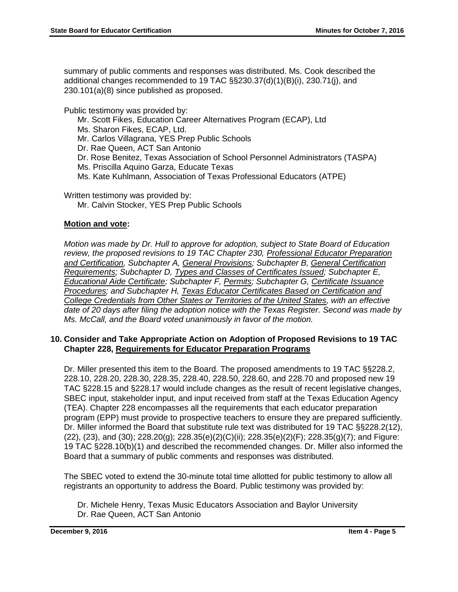summary of public comments and responses was distributed. Ms. Cook described the additional changes recommended to 19 TAC §§230.37(d)(1)(B)(i), 230.71(j), and 230.101(a)(8) since published as proposed.

Public testimony was provided by:

- Mr. Scott Fikes, Education Career Alternatives Program (ECAP), Ltd
- Ms. Sharon Fikes, ECAP, Ltd.
- Mr. Carlos Villagrana, YES Prep Public Schools
- Dr. Rae Queen, ACT San Antonio
- Dr. Rose Benitez, Texas Association of School Personnel Administrators (TASPA)
- Ms. Priscilla Aquino Garza, Educate Texas
- Ms. Kate Kuhlmann, Association of Texas Professional Educators (ATPE)

Written testimony was provided by:

Mr. Calvin Stocker, YES Prep Public Schools

## **Motion and vote:**

*Motion was made by Dr. Hull to approve for adoption, subject to State Board of Education review, the proposed revisions to 19 TAC Chapter 230, Professional Educator Preparation and Certification, Subchapter A, General Provisions; Subchapter B, General Certification Requirements; Subchapter D, Types and Classes of Certificates Issued; Subchapter E, Educational Aide Certificate; Subchapter F, Permits; Subchapter G, Certificate Issuance Procedures; and Subchapter H, Texas Educator Certificates Based on Certification and College Credentials from Other States or Territories of the United States, with an effective date of 20 days after filing the adoption notice with the Texas Register. Second was made by Ms. McCall, and the Board voted unanimously in favor of the motion.*

#### **10. Consider and Take Appropriate Action on Adoption of Proposed Revisions to 19 TAC Chapter 228, Requirements for Educator Preparation Programs**

Dr. Miller presented this item to the Board. The proposed amendments to 19 TAC §§228.2, 228.10, 228.20, 228.30, 228.35, 228.40, 228.50, 228.60, and 228.70 and proposed new 19 TAC §228.15 and §228.17 would include changes as the result of recent legislative changes, SBEC input, stakeholder input, and input received from staff at the Texas Education Agency (TEA). Chapter 228 encompasses all the requirements that each educator preparation program (EPP) must provide to prospective teachers to ensure they are prepared sufficiently. Dr. Miller informed the Board that substitute rule text was distributed for 19 TAC §§228.2(12),  $(22)$ ,  $(23)$ , and  $(30)$ ;  $228.20(g)$ ;  $228.35(e)(2)(G)$ (ii);  $228.35(e)(2)(F)$ ;  $228.35(g)(7)$ ; and Figure: 19 TAC §228.10(b)(1) and described the recommended changes. Dr. Miller also informed the Board that a summary of public comments and responses was distributed.

The SBEC voted to extend the 30-minute total time allotted for public testimony to allow all registrants an opportunity to address the Board. Public testimony was provided by:

Dr. Michele Henry, Texas Music Educators Association and Baylor University Dr. Rae Queen, ACT San Antonio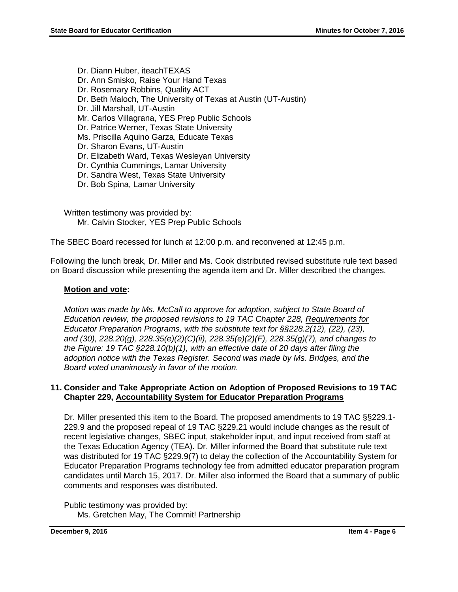Dr. Diann Huber, iteachTEXAS Dr. Ann Smisko, Raise Your Hand Texas Dr. Rosemary Robbins, Quality ACT Dr. Beth Maloch, The University of Texas at Austin (UT-Austin) Dr. Jill Marshall, UT-Austin Mr. Carlos Villagrana, YES Prep Public Schools Dr. Patrice Werner, Texas State University Ms. Priscilla Aquino Garza, Educate Texas Dr. Sharon Evans, UT-Austin Dr. Elizabeth Ward, Texas Wesleyan University Dr. Cynthia Cummings, Lamar University Dr. Sandra West, Texas State University Dr. Bob Spina, Lamar University

Written testimony was provided by: Mr. Calvin Stocker, YES Prep Public Schools

The SBEC Board recessed for lunch at 12:00 p.m. and reconvened at 12:45 p.m.

Following the lunch break, Dr. Miller and Ms. Cook distributed revised substitute rule text based on Board discussion while presenting the agenda item and Dr. Miller described the changes.

# **Motion and vote:**

*Motion was made by Ms. McCall to approve for adoption, subject to State Board of Education review, the proposed revisions to 19 TAC Chapter 228, Requirements for Educator Preparation Programs, with the substitute text for §§228.2(12), (22), (23), and (30), 228.20(g), 228.35(e)(2)(C)(ii), 228.35(e)(2)(F), 228.35(g)(7), and changes to the Figure: 19 TAC §228.10(b)(1), with an effective date of 20 days after filing the adoption notice with the Texas Register. Second was made by Ms. Bridges, and the Board voted unanimously in favor of the motion.*

## **11. Consider and Take Appropriate Action on Adoption of Proposed Revisions to 19 TAC Chapter 229, Accountability System for Educator Preparation Programs**

Dr. Miller presented this item to the Board. The proposed amendments to 19 TAC §§229.1- 229.9 and the proposed repeal of 19 TAC §229.21 would include changes as the result of recent legislative changes, SBEC input, stakeholder input, and input received from staff at the Texas Education Agency (TEA). Dr. Miller informed the Board that substitute rule text was distributed for 19 TAC §229.9(7) to delay the collection of the Accountability System for Educator Preparation Programs technology fee from admitted educator preparation program candidates until March 15, 2017. Dr. Miller also informed the Board that a summary of public comments and responses was distributed.

Public testimony was provided by: Ms. Gretchen May, The Commit! Partnership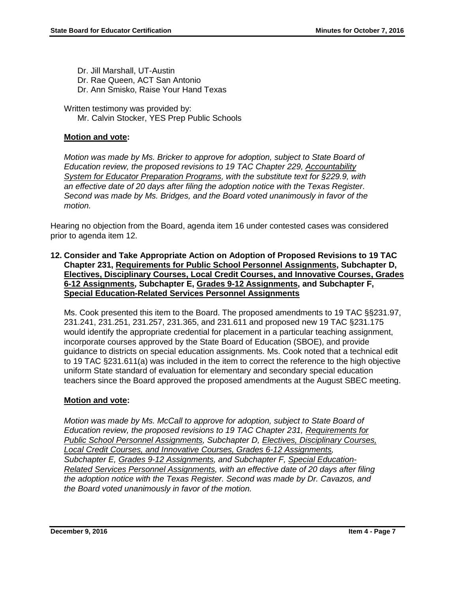Dr. Jill Marshall, UT-Austin Dr. Rae Queen, ACT San Antonio Dr. Ann Smisko, Raise Your Hand Texas

Written testimony was provided by: Mr. Calvin Stocker, YES Prep Public Schools

## **Motion and vote:**

*Motion was made by Ms. Bricker to approve for adoption, subject to State Board of Education review, the proposed revisions to 19 TAC Chapter 229, Accountability System for Educator Preparation Programs, with the substitute text for §229.9, with an effective date of 20 days after filing the adoption notice with the Texas Register. Second was made by Ms. Bridges, and the Board voted unanimously in favor of the motion.*

Hearing no objection from the Board, agenda item 16 under contested cases was considered prior to agenda item 12.

**12. Consider and Take Appropriate Action on Adoption of Proposed Revisions to 19 TAC Chapter 231, Requirements for Public School Personnel Assignments, Subchapter D, Electives, Disciplinary Courses, Local Credit Courses, and Innovative Courses, Grades 6-12 Assignments, Subchapter E, Grades 9-12 Assignments, and Subchapter F, Special Education-Related Services Personnel Assignments** 

Ms. Cook presented this item to the Board. The proposed amendments to 19 TAC §§231.97, 231.241, 231.251, 231.257, 231.365, and 231.611 and proposed new 19 TAC §231.175 would identify the appropriate credential for placement in a particular teaching assignment, incorporate courses approved by the State Board of Education (SBOE), and provide guidance to districts on special education assignments. Ms. Cook noted that a technical edit to 19 TAC §231.611(a) was included in the item to correct the reference to the high objective uniform State standard of evaluation for elementary and secondary special education teachers since the Board approved the proposed amendments at the August SBEC meeting.

# **Motion and vote:**

*Motion was made by Ms. McCall to approve for adoption, subject to State Board of Education review, the proposed revisions to 19 TAC Chapter 231, Requirements for Public School Personnel Assignments, Subchapter D, Electives, Disciplinary Courses, Local Credit Courses, and Innovative Courses, Grades 6-12 Assignments, Subchapter E, Grades 9-12 Assignments, and Subchapter F, Special Education-Related Services Personnel Assignments, with an effective date of 20 days after filing the adoption notice with the Texas Register. Second was made by Dr. Cavazos, and the Board voted unanimously in favor of the motion.*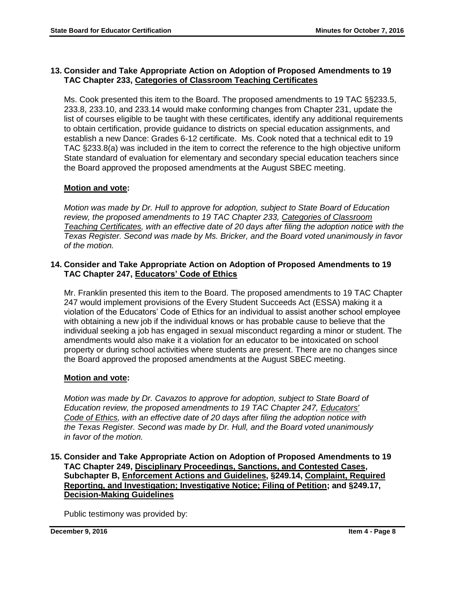## **13. Consider and Take Appropriate Action on Adoption of Proposed Amendments to 19 TAC Chapter 233, Categories of Classroom Teaching Certificates**

Ms. Cook presented this item to the Board. The proposed amendments to 19 TAC §§233.5, 233.8, 233.10, and 233.14 would make conforming changes from Chapter 231, update the list of courses eligible to be taught with these certificates, identify any additional requirements to obtain certification, provide guidance to districts on special education assignments, and establish a new Dance: Grades 6-12 certificate. Ms. Cook noted that a technical edit to 19 TAC §233.8(a) was included in the item to correct the reference to the high objective uniform State standard of evaluation for elementary and secondary special education teachers since the Board approved the proposed amendments at the August SBEC meeting.

# **Motion and vote:**

*Motion was made by Dr. Hull to approve for adoption, subject to State Board of Education review, the proposed amendments to 19 TAC Chapter 233, Categories of Classroom Teaching Certificates, with an effective date of 20 days after filing the adoption notice with the Texas Register. Second was made by Ms. Bricker, and the Board voted unanimously in favor of the motion.*

## **14. Consider and Take Appropriate Action on Adoption of Proposed Amendments to 19 TAC Chapter 247, Educators' Code of Ethics**

Mr. Franklin presented this item to the Board. The proposed amendments to 19 TAC Chapter 247 would implement provisions of the Every Student Succeeds Act (ESSA) making it a violation of the Educators' Code of Ethics for an individual to assist another school employee with obtaining a new job if the individual knows or has probable cause to believe that the individual seeking a job has engaged in sexual misconduct regarding a minor or student. The amendments would also make it a violation for an educator to be intoxicated on school property or during school activities where students are present. There are no changes since the Board approved the proposed amendments at the August SBEC meeting.

# **Motion and vote:**

*Motion was made by Dr. Cavazos to approve for adoption, subject to State Board of Education review, the proposed amendments to 19 TAC Chapter 247, Educators' Code of Ethics, with an effective date of 20 days after filing the adoption notice with the Texas Register. Second was made by Dr. Hull, and the Board voted unanimously in favor of the motion.*

**15. Consider and Take Appropriate Action on Adoption of Proposed Amendments to 19 TAC Chapter 249, Disciplinary Proceedings, Sanctions, and Contested Cases, Subchapter B, Enforcement Actions and Guidelines, §249.14, Complaint, Required Reporting, and Investigation; Investigative Notice; Filing of Petition; and §249.17, Decision-Making Guidelines**

Public testimony was provided by: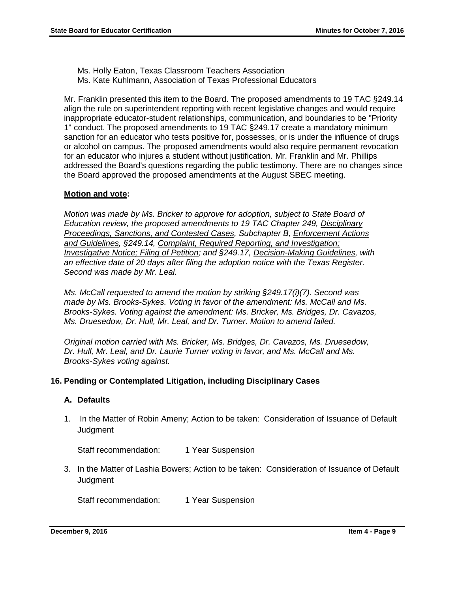Ms. Holly Eaton, Texas Classroom Teachers Association Ms. Kate Kuhlmann, Association of Texas Professional Educators

Mr. Franklin presented this item to the Board. The proposed amendments to 19 TAC §249.14 align the rule on superintendent reporting with recent legislative changes and would require inappropriate educator-student relationships, communication, and boundaries to be "Priority 1" conduct. The proposed amendments to 19 TAC §249.17 create a mandatory minimum sanction for an educator who tests positive for, possesses, or is under the influence of drugs or alcohol on campus. The proposed amendments would also require permanent revocation for an educator who injures a student without justification. Mr. Franklin and Mr. Phillips addressed the Board's questions regarding the public testimony. There are no changes since the Board approved the proposed amendments at the August SBEC meeting.

#### **Motion and vote:**

*Motion was made by Ms. Bricker to approve for adoption, subject to State Board of Education review, the proposed amendments to 19 TAC Chapter 249, Disciplinary Proceedings, Sanctions, and Contested Cases, Subchapter B, Enforcement Actions and Guidelines, §249.14, Complaint, Required Reporting, and Investigation; Investigative Notice; Filing of Petition; and §249.17, Decision-Making Guidelines, with an effective date of 20 days after filing the adoption notice with the Texas Register. Second was made by Mr. Leal.* 

*Ms. McCall requested to amend the motion by striking §249.17(i)(7). Second was made by Ms. Brooks-Sykes. Voting in favor of the amendment: Ms. McCall and Ms. Brooks-Sykes. Voting against the amendment: Ms. Bricker, Ms. Bridges, Dr. Cavazos, Ms. Druesedow, Dr. Hull, Mr. Leal, and Dr. Turner. Motion to amend failed.*

*Original motion carried with Ms. Bricker, Ms. Bridges, Dr. Cavazos, Ms. Druesedow, Dr. Hull, Mr. Leal, and Dr. Laurie Turner voting in favor, and Ms. McCall and Ms. Brooks-Sykes voting against.*

#### **16. Pending or Contemplated Litigation, including Disciplinary Cases**

## **A. Defaults**

1. In the Matter of Robin Ameny; Action to be taken: Consideration of Issuance of Default **Judgment** 

Staff recommendation: 1 Year Suspension

3. In the Matter of Lashia Bowers; Action to be taken: Consideration of Issuance of Default **Judgment** 

Staff recommendation: 1 Year Suspension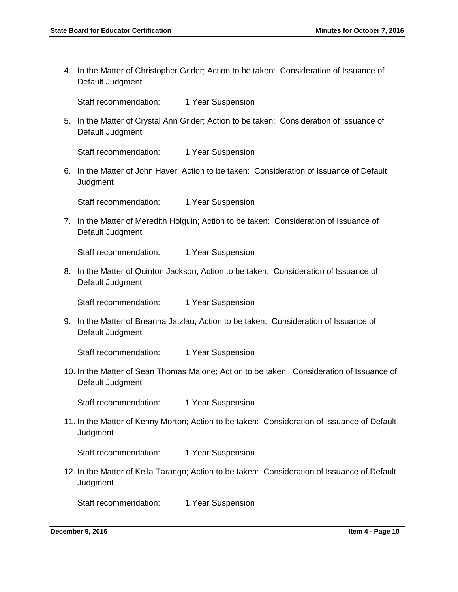4. In the Matter of Christopher Grider; Action to be taken: Consideration of Issuance of Default Judgment

Staff recommendation: 1 Year Suspension

5. In the Matter of Crystal Ann Grider; Action to be taken: Consideration of Issuance of Default Judgment

Staff recommendation: 1 Year Suspension

6. In the Matter of John Haver; Action to be taken: Consideration of Issuance of Default **Judgment** 

Staff recommendation: 1 Year Suspension

7. In the Matter of Meredith Holguin; Action to be taken: Consideration of Issuance of Default Judgment

Staff recommendation: 1 Year Suspension

8. In the Matter of Quinton Jackson; Action to be taken: Consideration of Issuance of Default Judgment

Staff recommendation: 1 Year Suspension

9. In the Matter of Breanna Jatzlau; Action to be taken: Consideration of Issuance of Default Judgment

Staff recommendation: 1 Year Suspension

10. In the Matter of Sean Thomas Malone; Action to be taken: Consideration of Issuance of Default Judgment

Staff recommendation: 1 Year Suspension

11. In the Matter of Kenny Morton; Action to be taken: Consideration of Issuance of Default **Judgment** 

Staff recommendation: 1 Year Suspension

12. In the Matter of Keila Tarango; Action to be taken: Consideration of Issuance of Default **Judgment** 

Staff recommendation: 1 Year Suspension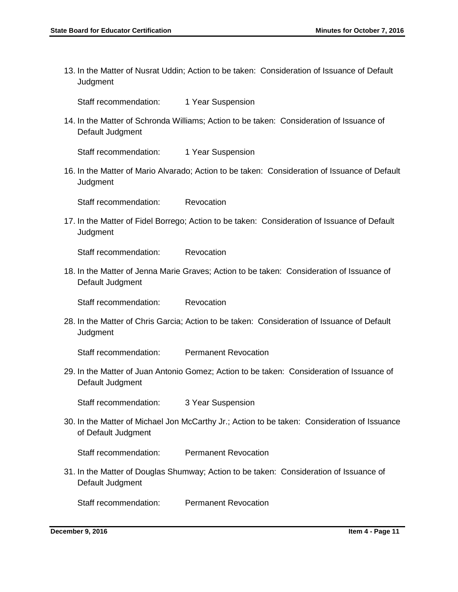13. In the Matter of Nusrat Uddin; Action to be taken: Consideration of Issuance of Default **Judgment** 

Staff recommendation: 1 Year Suspension

14. In the Matter of Schronda Williams; Action to be taken: Consideration of Issuance of Default Judgment

Staff recommendation: 1 Year Suspension

16. In the Matter of Mario Alvarado; Action to be taken: Consideration of Issuance of Default **Judgment** 

Staff recommendation: Revocation

17. In the Matter of Fidel Borrego; Action to be taken: Consideration of Issuance of Default **Judgment** 

Staff recommendation: Revocation

18. In the Matter of Jenna Marie Graves; Action to be taken: Consideration of Issuance of Default Judgment

Staff recommendation: Revocation

28. In the Matter of Chris Garcia; Action to be taken: Consideration of Issuance of Default **Judgment** 

Staff recommendation: Permanent Revocation

29. In the Matter of Juan Antonio Gomez; Action to be taken: Consideration of Issuance of Default Judgment

Staff recommendation: 3 Year Suspension

30. In the Matter of Michael Jon McCarthy Jr.; Action to be taken: Consideration of Issuance of Default Judgment

Staff recommendation: Permanent Revocation

31. In the Matter of Douglas Shumway; Action to be taken: Consideration of Issuance of Default Judgment

Staff recommendation: Permanent Revocation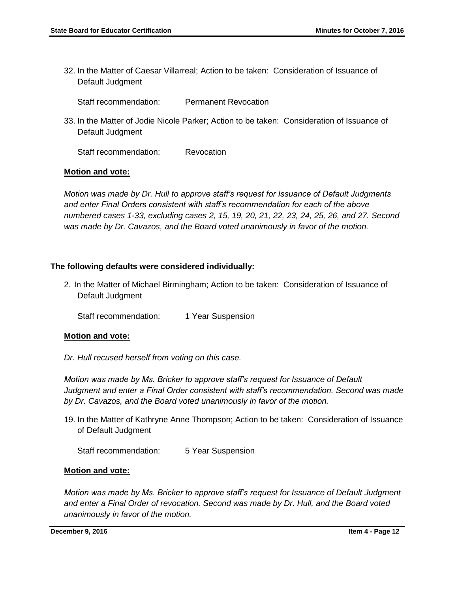32. In the Matter of Caesar Villarreal; Action to be taken: Consideration of Issuance of Default Judgment

Staff recommendation: Permanent Revocation

33. In the Matter of Jodie Nicole Parker; Action to be taken: Consideration of Issuance of Default Judgment

Staff recommendation: Revocation

#### **Motion and vote:**

*Motion was made by Dr. Hull to approve staff's request for Issuance of Default Judgments and enter Final Orders consistent with staff's recommendation for each of the above numbered cases 1-33, excluding cases 2, 15, 19, 20, 21, 22, 23, 24, 25, 26, and 27. Second was made by Dr. Cavazos, and the Board voted unanimously in favor of the motion.* 

#### **The following defaults were considered individually:**

2. In the Matter of Michael Birmingham; Action to be taken: Consideration of Issuance of Default Judgment

Staff recommendation: 1 Year Suspension

#### **Motion and vote:**

*Dr. Hull recused herself from voting on this case.* 

*Motion was made by Ms. Bricker to approve staff's request for Issuance of Default Judgment and enter a Final Order consistent with staff's recommendation. Second was made by Dr. Cavazos, and the Board voted unanimously in favor of the motion.*

19. In the Matter of Kathryne Anne Thompson; Action to be taken: Consideration of Issuance of Default Judgment

Staff recommendation: 5 Year Suspension

#### **Motion and vote:**

*Motion was made by Ms. Bricker to approve staff's request for Issuance of Default Judgment and enter a Final Order of revocation. Second was made by Dr. Hull, and the Board voted unanimously in favor of the motion.*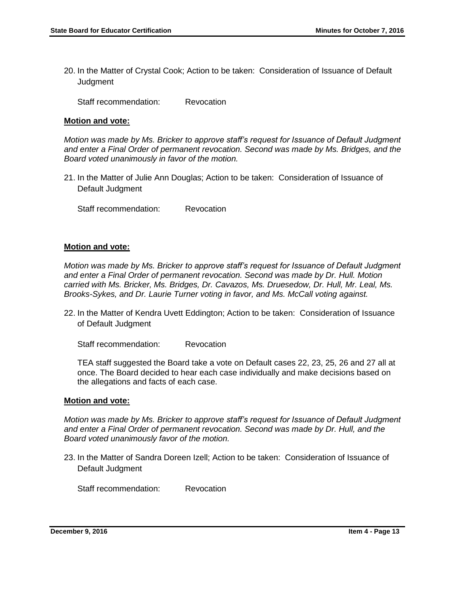20. In the Matter of Crystal Cook; Action to be taken: Consideration of Issuance of Default **Judgment** 

Staff recommendation: Revocation

#### **Motion and vote:**

*Motion was made by Ms. Bricker to approve staff's request for Issuance of Default Judgment and enter a Final Order of permanent revocation. Second was made by Ms. Bridges, and the Board voted unanimously in favor of the motion.*

21. In the Matter of Julie Ann Douglas; Action to be taken: Consideration of Issuance of Default Judgment

Staff recommendation: Revocation

#### **Motion and vote:**

*Motion was made by Ms. Bricker to approve staff's request for Issuance of Default Judgment and enter a Final Order of permanent revocation. Second was made by Dr. Hull. Motion carried with Ms. Bricker, Ms. Bridges, Dr. Cavazos, Ms. Druesedow, Dr. Hull, Mr. Leal, Ms. Brooks-Sykes, and Dr. Laurie Turner voting in favor, and Ms. McCall voting against.*

22. In the Matter of Kendra Uvett Eddington; Action to be taken: Consideration of Issuance of Default Judgment

Staff recommendation: Revocation

TEA staff suggested the Board take a vote on Default cases 22, 23, 25, 26 and 27 all at once. The Board decided to hear each case individually and make decisions based on the allegations and facts of each case.

#### **Motion and vote:**

*Motion was made by Ms. Bricker to approve staff's request for Issuance of Default Judgment and enter a Final Order of permanent revocation. Second was made by Dr. Hull, and the Board voted unanimously favor of the motion.*

23. In the Matter of Sandra Doreen Izell; Action to be taken: Consideration of Issuance of Default Judgment

Staff recommendation: Revocation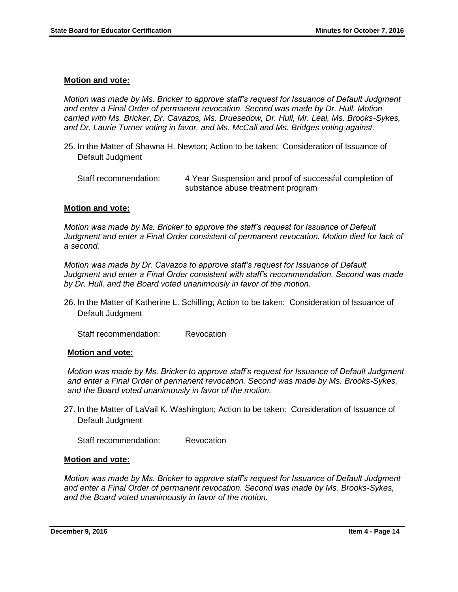#### **Motion and vote:**

*Motion was made by Ms. Bricker to approve staff's request for Issuance of Default Judgment and enter a Final Order of permanent revocation. Second was made by Dr. Hull. Motion carried with Ms. Bricker, Dr. Cavazos, Ms. Druesedow, Dr. Hull, Mr. Leal, Ms. Brooks-Sykes, and Dr. Laurie Turner voting in favor, and Ms. McCall and Ms. Bridges voting against.*

25. In the Matter of Shawna H. Newton; Action to be taken: Consideration of Issuance of Default Judgment

#### **Motion and vote:**

*Motion was made by Ms. Bricker to approve the staff's request for Issuance of Default Judgment and enter a Final Order consistent of permanent revocation. Motion died for lack of a second.* 

*Motion was made by Dr. Cavazos to approve staff's request for Issuance of Default Judgment and enter a Final Order consistent with staff's recommendation. Second was made by Dr. Hull, and the Board voted unanimously in favor of the motion.*

26. In the Matter of Katherine L. Schilling; Action to be taken: Consideration of Issuance of Default Judgment

Staff recommendation: Revocation

#### **Motion and vote:**

*Motion was made by Ms. Bricker to approve staff's request for Issuance of Default Judgment and enter a Final Order of permanent revocation. Second was made by Ms. Brooks-Sykes, and the Board voted unanimously in favor of the motion.*

27. In the Matter of LaVail K. Washington; Action to be taken: Consideration of Issuance of Default Judgment

Staff recommendation: Revocation

#### **Motion and vote:**

*Motion was made by Ms. Bricker to approve staff's request for Issuance of Default Judgment and enter a Final Order of permanent revocation. Second was made by Ms. Brooks-Sykes, and the Board voted unanimously in favor of the motion.*

Staff recommendation: 4 Year Suspension and proof of successful completion of substance abuse treatment program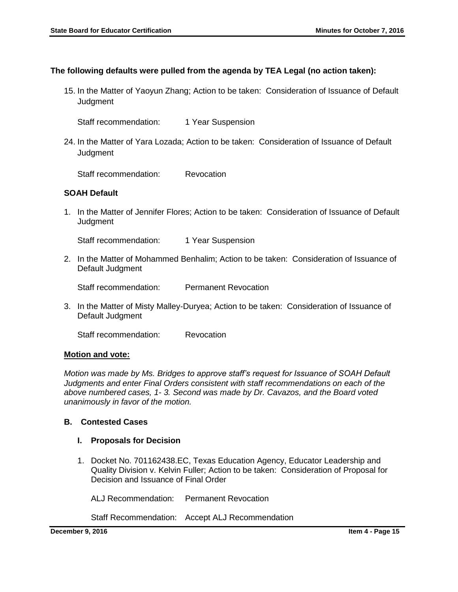## **The following defaults were pulled from the agenda by TEA Legal (no action taken):**

- 15. In the Matter of Yaoyun Zhang; Action to be taken: Consideration of Issuance of Default **Judgment** 
	- Staff recommendation: 1 Year Suspension
- 24. In the Matter of Yara Lozada; Action to be taken: Consideration of Issuance of Default **Judgment**

Staff recommendation: Revocation

#### **SOAH Default**

1. In the Matter of Jennifer Flores; Action to be taken: Consideration of Issuance of Default **Judgment** 

Staff recommendation: 1 Year Suspension

2. In the Matter of Mohammed Benhalim; Action to be taken: Consideration of Issuance of Default Judgment

Staff recommendation: Permanent Revocation

3. In the Matter of Misty Malley-Duryea; Action to be taken: Consideration of Issuance of Default Judgment

Staff recommendation: Revocation

#### **Motion and vote:**

*Motion was made by Ms. Bridges to approve staff's request for Issuance of SOAH Default Judgments and enter Final Orders consistent with staff recommendations on each of the above numbered cases, 1- 3. Second was made by Dr. Cavazos, and the Board voted unanimously in favor of the motion.*

#### **B. Contested Cases**

#### **I. Proposals for Decision**

1. Docket No. 701162438.EC, Texas Education Agency, Educator Leadership and Quality Division v. Kelvin Fuller; Action to be taken: Consideration of Proposal for Decision and Issuance of Final Order

ALJ Recommendation: Permanent Revocation

Staff Recommendation: Accept ALJ Recommendation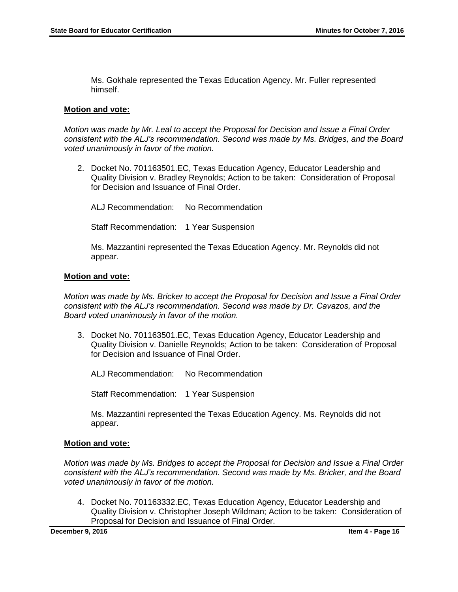Ms. Gokhale represented the Texas Education Agency. Mr. Fuller represented himself.

#### **Motion and vote:**

*Motion was made by Mr. Leal to accept the Proposal for Decision and Issue a Final Order consistent with the ALJ's recommendation. Second was made by Ms. Bridges, and the Board voted unanimously in favor of the motion.* 

2. Docket No. 701163501.EC, Texas Education Agency, Educator Leadership and Quality Division v. Bradley Reynolds; Action to be taken: Consideration of Proposal for Decision and Issuance of Final Order.

ALJ Recommendation: No Recommendation

Staff Recommendation: 1 Year Suspension

Ms. Mazzantini represented the Texas Education Agency. Mr. Reynolds did not appear.

#### **Motion and vote:**

*Motion was made by Ms. Bricker to accept the Proposal for Decision and Issue a Final Order consistent with the ALJ's recommendation. Second was made by Dr. Cavazos, and the Board voted unanimously in favor of the motion.* 

3. Docket No. 701163501.EC, Texas Education Agency, Educator Leadership and Quality Division v. Danielle Reynolds; Action to be taken: Consideration of Proposal for Decision and Issuance of Final Order.

ALJ Recommendation: No Recommendation

Staff Recommendation: 1 Year Suspension

Ms. Mazzantini represented the Texas Education Agency. Ms. Reynolds did not appear.

#### **Motion and vote:**

*Motion was made by Ms. Bridges to accept the Proposal for Decision and Issue a Final Order consistent with the ALJ's recommendation. Second was made by Ms. Bricker, and the Board voted unanimously in favor of the motion.* 

4. Docket No. 701163332.EC, Texas Education Agency, Educator Leadership and Quality Division v. Christopher Joseph Wildman; Action to be taken: Consideration of Proposal for Decision and Issuance of Final Order.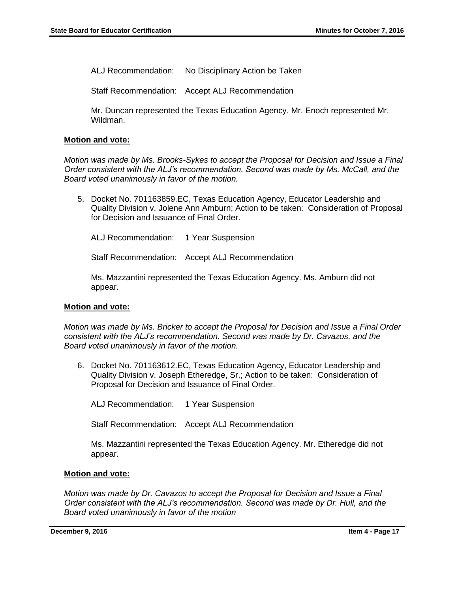ALJ Recommendation: No Disciplinary Action be Taken

Staff Recommendation: Accept ALJ Recommendation

Mr. Duncan represented the Texas Education Agency. Mr. Enoch represented Mr. Wildman.

#### **Motion and vote:**

*Motion was made by Ms. Brooks-Sykes to accept the Proposal for Decision and Issue a Final Order consistent with the ALJ's recommendation. Second was made by Ms. McCall, and the Board voted unanimously in favor of the motion.* 

5. Docket No. 701163859.EC, Texas Education Agency, Educator Leadership and Quality Division v. Jolene Ann Amburn; Action to be taken: Consideration of Proposal for Decision and Issuance of Final Order.

ALJ Recommendation: 1 Year Suspension

Staff Recommendation: Accept ALJ Recommendation

Ms. Mazzantini represented the Texas Education Agency. Ms. Amburn did not appear.

#### **Motion and vote:**

*Motion was made by Ms. Bricker to accept the Proposal for Decision and Issue a Final Order consistent with the ALJ's recommendation. Second was made by Dr. Cavazos, and the Board voted unanimously in favor of the motion.* 

6. Docket No. 701163612.EC, Texas Education Agency, Educator Leadership and Quality Division v. Joseph Etheredge, Sr.; Action to be taken: Consideration of Proposal for Decision and Issuance of Final Order.

ALJ Recommendation: 1 Year Suspension

Staff Recommendation: Accept ALJ Recommendation

Ms. Mazzantini represented the Texas Education Agency. Mr. Etheredge did not appear.

#### **Motion and vote:**

*Motion was made by Dr. Cavazos to accept the Proposal for Decision and Issue a Final Order consistent with the ALJ's recommendation. Second was made by Dr. Hull, and the Board voted unanimously in favor of the motion*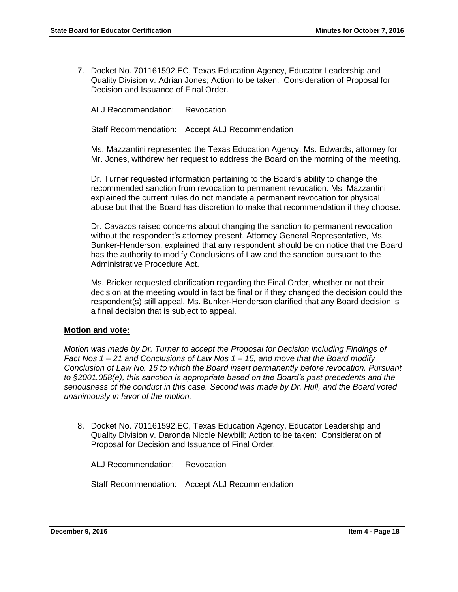7. Docket No. 701161592.EC, Texas Education Agency, Educator Leadership and Quality Division v. Adrian Jones; Action to be taken: Consideration of Proposal for Decision and Issuance of Final Order.

ALJ Recommendation: Revocation

Staff Recommendation: Accept ALJ Recommendation

Ms. Mazzantini represented the Texas Education Agency. Ms. Edwards, attorney for Mr. Jones, withdrew her request to address the Board on the morning of the meeting.

Dr. Turner requested information pertaining to the Board's ability to change the recommended sanction from revocation to permanent revocation. Ms. Mazzantini explained the current rules do not mandate a permanent revocation for physical abuse but that the Board has discretion to make that recommendation if they choose.

Dr. Cavazos raised concerns about changing the sanction to permanent revocation without the respondent's attorney present. Attorney General Representative, Ms. Bunker-Henderson, explained that any respondent should be on notice that the Board has the authority to modify Conclusions of Law and the sanction pursuant to the Administrative Procedure Act.

Ms. Bricker requested clarification regarding the Final Order, whether or not their decision at the meeting would in fact be final or if they changed the decision could the respondent(s) still appeal. Ms. Bunker-Henderson clarified that any Board decision is a final decision that is subject to appeal.

#### **Motion and vote:**

*Motion was made by Dr. Turner to accept the Proposal for Decision including Findings of Fact Nos 1 – 21 and Conclusions of Law Nos 1 – 15, and move that the Board modify Conclusion of Law No. 16 to which the Board insert permanently before revocation. Pursuant to §2001.058(e), this sanction is appropriate based on the Board's past precedents and the seriousness of the conduct in this case. Second was made by Dr. Hull, and the Board voted unanimously in favor of the motion.*

8. Docket No. 701161592.EC, Texas Education Agency, Educator Leadership and Quality Division v. Daronda Nicole Newbill; Action to be taken: Consideration of Proposal for Decision and Issuance of Final Order.

ALJ Recommendation: Revocation

Staff Recommendation: Accept ALJ Recommendation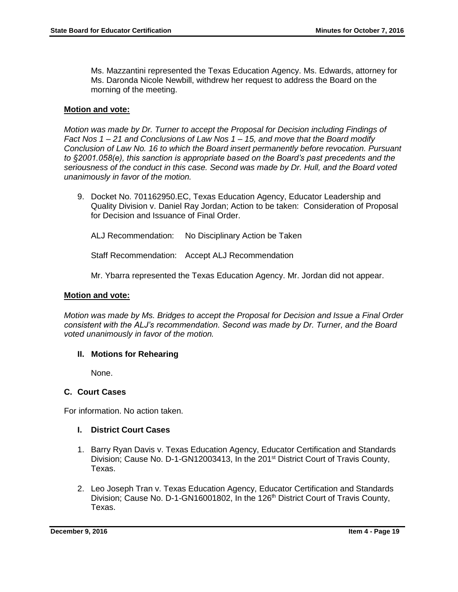Ms. Mazzantini represented the Texas Education Agency. Ms. Edwards, attorney for Ms. Daronda Nicole Newbill, withdrew her request to address the Board on the morning of the meeting.

#### **Motion and vote:**

*Motion was made by Dr. Turner to accept the Proposal for Decision including Findings of Fact Nos 1 – 21 and Conclusions of Law Nos 1 – 15, and move that the Board modify Conclusion of Law No. 16 to which the Board insert permanently before revocation. Pursuant to §2001.058(e), this sanction is appropriate based on the Board's past precedents and the seriousness of the conduct in this case. Second was made by Dr. Hull, and the Board voted unanimously in favor of the motion.*

9. Docket No. 701162950.EC, Texas Education Agency, Educator Leadership and Quality Division v. Daniel Ray Jordan; Action to be taken: Consideration of Proposal for Decision and Issuance of Final Order.

ALJ Recommendation: No Disciplinary Action be Taken

Staff Recommendation: Accept ALJ Recommendation

Mr. Ybarra represented the Texas Education Agency. Mr. Jordan did not appear.

#### **Motion and vote:**

*Motion was made by Ms. Bridges to accept the Proposal for Decision and Issue a Final Order consistent with the ALJ's recommendation. Second was made by Dr. Turner, and the Board voted unanimously in favor of the motion.*

#### **II. Motions for Rehearing**

None.

#### **C. Court Cases**

For information. No action taken.

#### **I. District Court Cases**

- 1. Barry Ryan Davis v. Texas Education Agency, Educator Certification and Standards Division; Cause No. D-1-GN12003413, In the 201<sup>st</sup> District Court of Travis County, Texas.
- 2. Leo Joseph Tran v. Texas Education Agency, Educator Certification and Standards Division; Cause No. D-1-GN16001802, In the 126<sup>th</sup> District Court of Travis County, Texas.